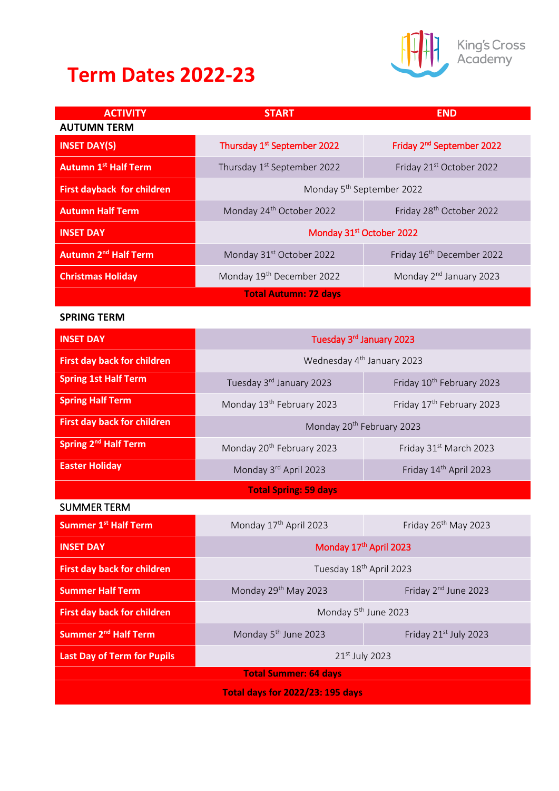## **Term Dates 2022-23**



King's Cross<br>Academy

| <b>ACTIVITY</b>                        | <b>START</b>                            | <b>END</b>                            |
|----------------------------------------|-----------------------------------------|---------------------------------------|
| <b>AUTUMN TERM</b>                     |                                         |                                       |
| <b>INSET DAY(S)</b>                    | Thursday 1 <sup>st</sup> September 2022 | Friday 2 <sup>nd</sup> September 2022 |
| <b>Autumn 1st Half Term</b>            | Thursday 1 <sup>st</sup> September 2022 | Friday 21 <sup>st</sup> October 2022  |
| <b>First dayback for children</b>      | Monday 5 <sup>th</sup> September 2022   |                                       |
| <b>Autumn Half Term</b>                | Monday 24 <sup>th</sup> October 2022    | Friday 28 <sup>th</sup> October 2022  |
| <b>INSET DAY</b>                       | Monday 31 <sup>st</sup> October 2022    |                                       |
| <b>Autumn 2<sup>nd</sup> Half Term</b> | Monday 31 <sup>st</sup> October 2022    | Friday 16 <sup>th</sup> December 2022 |
| <b>Christmas Holiday</b>               | Monday 19 <sup>th</sup> December 2022   | Monday 2 <sup>nd</sup> January 2023   |
|                                        | <b>Total Autumn: 72 days</b>            |                                       |

## **SPRING TERM**

| <b>INSET DAY</b>                        | Tuesday 3rd January 2023               |                                       |
|-----------------------------------------|----------------------------------------|---------------------------------------|
| <b>First day back for children</b>      | Wednesday 4 <sup>th</sup> January 2023 |                                       |
| <b>Spring 1st Half Term</b>             | Tuesday 3rd January 2023               | Friday 10th February 2023             |
| <b>Spring Half Term</b>                 | Monday 13 <sup>th</sup> February 2023  | Friday 17 <sup>th</sup> February 2023 |
| First day back for children             | Monday 20 <sup>th</sup> February 2023  |                                       |
| Spring 2 <sup>nd</sup> Half Term        | Monday 20 <sup>th</sup> February 2023  | Friday 31 <sup>st</sup> March 2023    |
| <b>Easter Holiday</b>                   | Monday 3rd April 2023                  | Friday 14th April 2023                |
|                                         | <b>Total Spring: 59 days</b>           |                                       |
| <b>SUMMER TERM</b>                      |                                        |                                       |
| <b>Summer 1st Half Term</b>             | Monday 17 <sup>th</sup> April 2023     | Friday 26 <sup>th</sup> May 2023      |
| <b>INSET DAY</b>                        | Monday 17th April 2023                 |                                       |
| <b>First day back for children</b>      | Tuesday 18 <sup>th</sup> April 2023    |                                       |
| <b>Summer Half Term</b>                 | Monday 29 <sup>th</sup> May 2023       | Friday 2 <sup>nd</sup> June 2023      |
| <b>First day back for children</b>      | Monday 5 <sup>th</sup> June 2023       |                                       |
| Summer 2 <sup>nd</sup> Half Term        | Monday 5 <sup>th</sup> June 2023       | Friday 21st July 2023                 |
| Last Day of Term for Pupils             | 21st July 2023                         |                                       |
| <b>Total Summer: 64 days</b>            |                                        |                                       |
| <b>Total days for 2022/23: 195 days</b> |                                        |                                       |